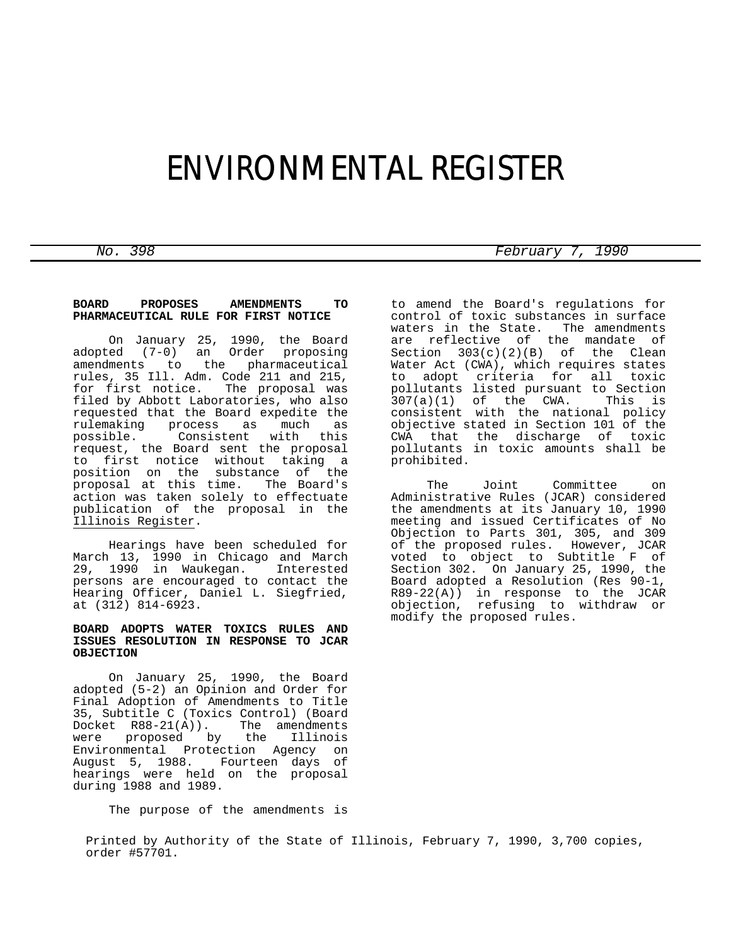# ENVIRONMENTAL REGISTER

## **BOARD PROPOSES AMENDMENTS TO PHARMACEUTICAL RULE FOR FIRST NOTICE**

 On January 25, 1990, the Board adopted (7-0) an Order proposing amendments to the pharmaceutical rules, 35 Ill. Adm. Code 211 and 215, for first notice. The proposal was filed by Abbott Laboratories, who also requested that the Board expedite the<br>rulemaking process as much as process as possible. Consistent with this request, the Board sent the proposal to first notice without taking a position on the substance of the proposal at this time. The Board's action was taken solely to effectuate publication of the proposal in the Illinois Register.

 Hearings have been scheduled for March 13, 1990 in Chicago and March 29, 1990 in Waukegan. Interested persons are encouraged to contact the Hearing Officer, Daniel L. Siegfried, at (312) 814-6923.

## **BOARD ADOPTS WATER TOXICS RULES AND ISSUES RESOLUTION IN RESPONSE TO JCAR OBJECTION**

 On January 25, 1990, the Board adopted (5-2) an Opinion and Order for Final Adoption of Amendments to Title 35, Subtitle C (Toxics Control) (Board Docket  $R88-21(A)$ ).<br>were proposed by were proposed by the Illinois Environmental Protection Agency on August 5, 1988. Fourteen days of hearings were held on the proposal during 1988 and 1989.

The purpose of the amendments is

to amend the Board's regulations for control of toxic substances in surface waters in the State. The amendments are reflective of the mandate of Section 303(c)(2)(B) of the Clean Water Act (CWA), which requires states to adopt criteria for all toxic pollutants listed pursuant to Section<br>307(a)(1) of the CWA. This is  $307(a)(1)$  of the CWA. consistent with the national policy objective stated in Section 101 of the CWA that the discharge of toxic pollutants in toxic amounts shall be prohibited.

 The Joint Committee on Administrative Rules (JCAR) considered the amendments at its January 10, 1990 meeting and issued Certificates of No Objection to Parts 301, 305, and 309 of the proposed rules. However, JCAR voted to object to Subtitle F of Section 302. On January 25, 1990, the Board adopted a Resolution (Res 90-1, R89-22(A)) in response to the JCAR objection, refusing to withdraw or modify the proposed rules.

Printed by Authority of the State of Illinois, February 7, 1990, 3,700 copies, order #57701.

*No. 398 February 7, 1990*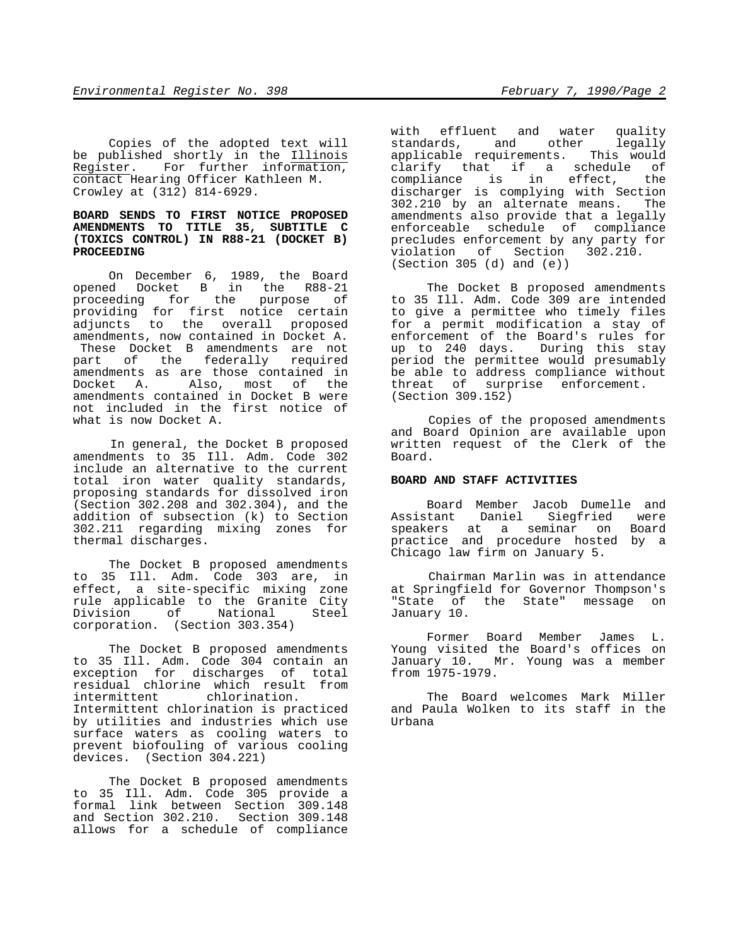Copies of the adopted text will be published shortly in the Illinois Register. For further information, contact Hearing Officer Kathleen M. Crowley at (312) 814-6929.

### **BOARD SENDS TO FIRST NOTICE PROPOSED AMENDMENTS TO TITLE 35, SUBTITLE C (TOXICS CONTROL) IN R88-21 (DOCKET B) PROCEEDING**

 On December 6, 1989, the Board opened Docket B in the R88-21 proceeding for the purpose of providing for first notice certain adjuncts to the overall proposed amendments, now contained in Docket A. These Docket B amendments are not part of the federally required amendments as are those contained in Docket A. Also, most of the amendments contained in Docket B were not included in the first notice of what is now Docket A.

 In general, the Docket B proposed amendments to 35 Ill. Adm. Code 302 include an alternative to the current total iron water quality standards, proposing standards for dissolved iron (Section 302.208 and 302.304), and the addition of subsection (k) to Section 302.211 regarding mixing zones for thermal discharges.

 The Docket B proposed amendments to 35 Ill. Adm. Code 303 are, in effect, a site-specific mixing zone rule applicable to the Granite City Division of National Steel corporation. (Section 303.354)

 The Docket B proposed amendments to 35 Ill. Adm. Code 304 contain an exception for discharges of total residual chlorine which result from chlorination. Intermittent chlorination is practiced by utilities and industries which use surface waters as cooling waters to prevent biofouling of various cooling devices. (Section 304.221)

 The Docket B proposed amendments to 35 Ill. Adm. Code 305 provide a formal link between Section 309.148 and Section 302.210. Section 309.148 allows for a schedule of compliance with effluent and water quality<br>standards, and other legally standards, and other applicable requirements. This would clarify that if a schedule of compliance is in effect, the discharger is complying with Section 302.210 by an alternate means. The amendments also provide that a legally enforceable schedule of compliance precludes enforcement by any party for violation of Section 302.210. (Section 305 (d) and (e))

 The Docket B proposed amendments to 35 Ill. Adm. Code 309 are intended to give a permittee who timely files for a permit modification a stay of enforcement of the Board's rules for up to 240 days. During this stay period the permittee would presumably be able to address compliance without threat of surprise enforcement. (Section 309.152)

 Copies of the proposed amendments and Board Opinion are available upon written request of the Clerk of the Board.

# **BOARD AND STAFF ACTIVITIES**

 Board Member Jacob Dumelle and Assistant Daniel Siegfried were speakers at a seminar on Board practice and procedure hosted by a Chicago law firm on January 5.

 Chairman Marlin was in attendance at Springfield for Governor Thompson's "State of the State" message on January 10.

 Former Board Member James L. Young visited the Board's offices on January 10. Mr. Young was a member from 1975-1979.

 The Board welcomes Mark Miller and Paula Wolken to its staff in the Urbana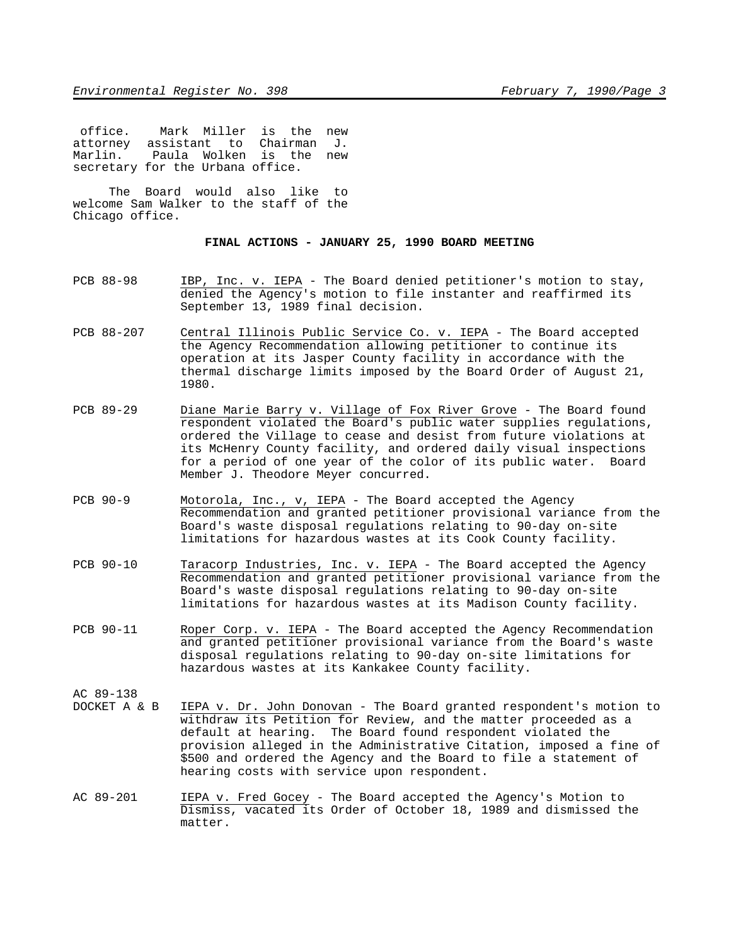office. Mark Miller is the new attorney assistant to Chairman J. Marlin. Paula Wolken is the new secretary for the Urbana office.

 The Board would also like to welcome Sam Walker to the staff of the Chicago office.

# **FINAL ACTIONS - JANUARY 25, 1990 BOARD MEETING**

- PCB 88-98 IBP, Inc. v. IEPA The Board denied petitioner's motion to stay, denied the Agency's motion to file instanter and reaffirmed its September 13, 1989 final decision.
- PCB 88-207 Central Illinois Public Service Co. v. IEPA The Board accepted the Agency Recommendation allowing petitioner to continue its operation at its Jasper County facility in accordance with the thermal discharge limits imposed by the Board Order of August 21, 1980.
- PCB 89-29 Diane Marie Barry v. Village of Fox River Grove The Board found respondent violated the Board's public water supplies regulations, ordered the Village to cease and desist from future violations at its McHenry County facility, and ordered daily visual inspections for a period of one year of the color of its public water. Board Member J. Theodore Meyer concurred.
- PCB 90-9 Motorola, Inc., v, IEPA The Board accepted the Agency Recommendation and granted petitioner provisional variance from the Board's waste disposal regulations relating to 90-day on-site limitations for hazardous wastes at its Cook County facility.
- PCB 90-10 Taracorp Industries, Inc. v. IEPA The Board accepted the Agency Recommendation and granted petitioner provisional variance from the Board's waste disposal regulations relating to 90-day on-site limitations for hazardous wastes at its Madison County facility.
- PCB 90-11 Roper Corp. v. IEPA The Board accepted the Agency Recommendation and granted petitioner provisional variance from the Board's waste disposal regulations relating to 90-day on-site limitations for hazardous wastes at its Kankakee County facility.

AC 89-138<br>DOCKET A & B

- IEPA v. Dr. John Donovan The Board granted respondent's motion to withdraw its Petition for Review, and the matter proceeded as a default at hearing. The Board found respondent violated the provision alleged in the Administrative Citation, imposed a fine of \$500 and ordered the Agency and the Board to file a statement of hearing costs with service upon respondent.
- AC 89-201 IEPA v. Fred Gocey The Board accepted the Agency's Motion to Dismiss, vacated its Order of October 18, 1989 and dismissed the matter.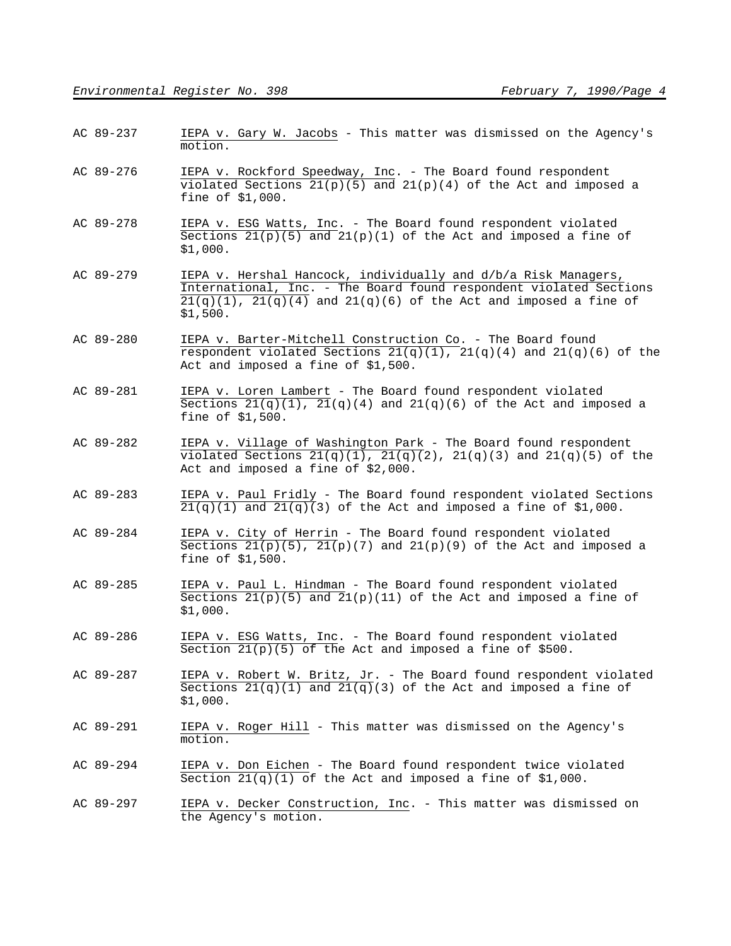- AC 89-237 IEPA v. Gary W. Jacobs This matter was dismissed on the Agency's motion.
- AC 89-276 IEPA v. Rockford Speedway, Inc. The Board found respondent violated Sections  $21(p)(5)$  and  $21(p)(4)$  of the Act and imposed a fine of \$1,000.
- AC 89-278 IEPA v. ESG Watts, Inc. The Board found respondent violated Sections  $21(p)(5)$  and  $21(p)(1)$  of the Act and imposed a fine of \$1,000.
- AC 89-279 IEPA v. Hershal Hancock, individually and d/b/a Risk Managers, International, Inc. - The Board found respondent violated Sections  $21(q)(1)$ ,  $21(q)(4)$  and  $21(q)(6)$  of the Act and imposed a fine of \$1,500.
- AC 89-280 IEPA v. Barter-Mitchell Construction Co. The Board found respondent violated Sections  $21(q)(1)$ ,  $21(q)(4)$  and  $21(q)(6)$  of the Act and imposed a fine of \$1,500.
- AC 89-281 IEPA v. Loren Lambert The Board found respondent violated Sections  $21(q)(1)$ ,  $21(q)(4)$  and  $21(q)(6)$  of the Act and imposed a fine of \$1,500.
- AC 89-282 IEPA v. Village of Washington Park The Board found respondent violated Sections  $21(q)(1)$ ,  $21(q)(2)$ ,  $21(q)(3)$  and  $21(q)(5)$  of the Act and imposed a fine of \$2,000.
- AC 89-283 IEPA v. Paul Fridly The Board found respondent violated Sections  $21(q)(1)$  and  $21(q)(3)$  of the Act and imposed a fine of \$1,000.
- AC 89-284 IEPA v. City of Herrin The Board found respondent violated Sections  $21(p)(5)$ ,  $21(p)(7)$  and  $21(p)(9)$  of the Act and imposed a fine of \$1,500.
- AC 89-285 IEPA v. Paul L. Hindman The Board found respondent violated Sections  $21(p)(5)$  and  $21(p)(11)$  of the Act and imposed a fine of \$1,000.
- AC 89-286 IEPA v. ESG Watts, Inc. The Board found respondent violated Section  $21(p)(5)$  of the Act and imposed a fine of \$500.
- AC 89-287 IEPA v. Robert W. Britz, Jr. The Board found respondent violated Sections  $21(q)(1)$  and  $21(q)(3)$  of the Act and imposed a fine of \$1,000.
- AC 89-291 IEPA v. Roger Hill This matter was dismissed on the Agency's motion.
- AC 89-294 IEPA v. Don Eichen The Board found respondent twice violated Section  $21(q)(1)$  of the Act and imposed a fine of \$1,000.
- AC 89-297 IEPA v. Decker Construction, Inc. This matter was dismissed on the Agency's motion.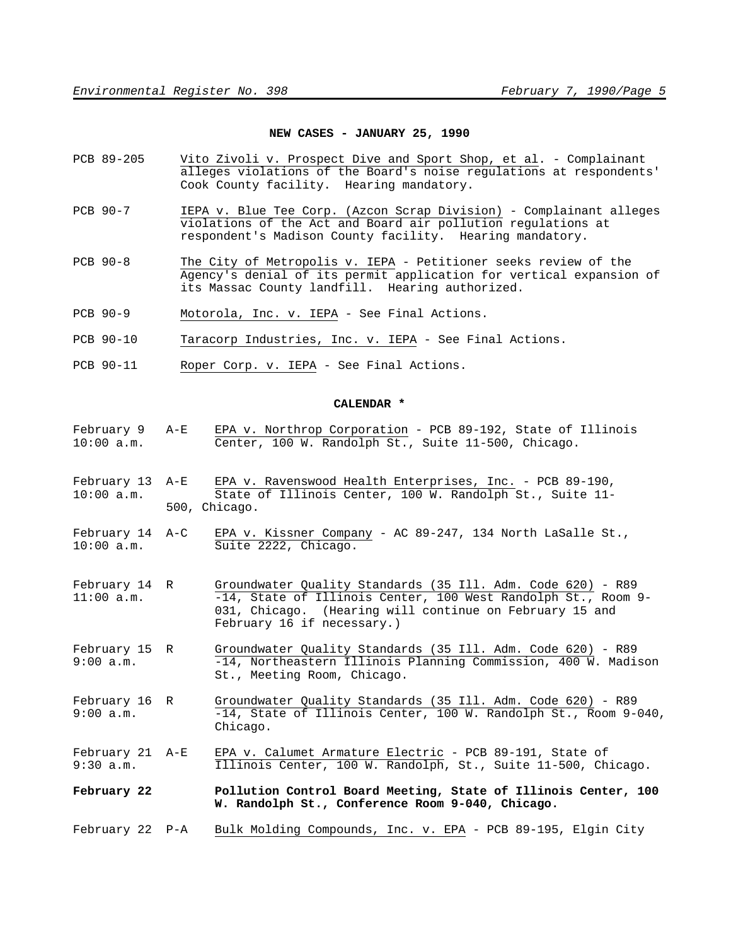#### **NEW CASES - JANUARY 25, 1990**

- PCB 89-205 Vito Zivoli v. Prospect Dive and Sport Shop, et al. Complainant alleges violations of the Board's noise regulations at respondents' Cook County facility. Hearing mandatory.
- PCB 90-7 IEPA v. Blue Tee Corp. (Azcon Scrap Division) Complainant alleges violations of the Act and Board air pollution regulations at respondent's Madison County facility. Hearing mandatory.
- PCB 90-8 The City of Metropolis v. IEPA Petitioner seeks review of the Agency's denial of its permit application for vertical expansion of its Massac County landfill. Hearing authorized.
- PCB 90-9 Motorola, Inc. v. IEPA See Final Actions.
- PCB 90-10 Taracorp Industries, Inc. v. IEPA See Final Actions.
- PCB 90-11 Roper Corp. v. IEPA See Final Actions.

#### **CALENDAR \***

- February 9 A-E EPA v. Northrop Corporation PCB 89-192, State of Illinois 10:00 a.m. Center, 100 W. Randolph St., Suite 11-500, Chicago.
- February 13 A-E EPA v. Ravenswood Health Enterprises, Inc. PCB 89-190, 10:00 a.m. State of Illinois Center, 100 W. Randolph St., Suite 11- 500, Chicago.
- February 14 A-C EPA v. Kissner Company AC 89-247, 134 North LaSalle St., 10:00 a.m. Suite 2222, Chicago.
- February 14 R Groundwater Quality Standards (35 Ill. Adm. Code 620) R89 -14, State of Illinois Center, 100 West Randolph St., Room 9-031, Chicago. (Hearing will continue on February 15 and February 16 if necessary.)
- February 15 R Groundwater Quality Standards (35 Ill. Adm. Code 620) R89<br>9:00 a.m. <sup>-14</sup>, Northeastern Illinois Planning Commission, 400 W. Madi  $-14$ , Northeastern Illinois Planning Commission, 400 W. Madison St., Meeting Room, Chicago.
- February 16 R Groundwater Quality Standards (35 Ill. Adm. Code 620) R89 9:00 a.m.  $-14$ , State of Illinois Center, 100 W. Randolph St., Room 9-040, Chicago.
- February 21 A-E EPA v. Calumet Armature Electric PCB 89-191, State of 9:30 a.m. Illinois Center, 100 W. Randolph, St., Suite 11-500, Chicago.
- **February 22 Pollution Control Board Meeting, State of Illinois Center, 100 W. Randolph St., Conference Room 9-040, Chicago.**
- February 22 P-A Bulk Molding Compounds, Inc. v. EPA PCB 89-195, Elgin City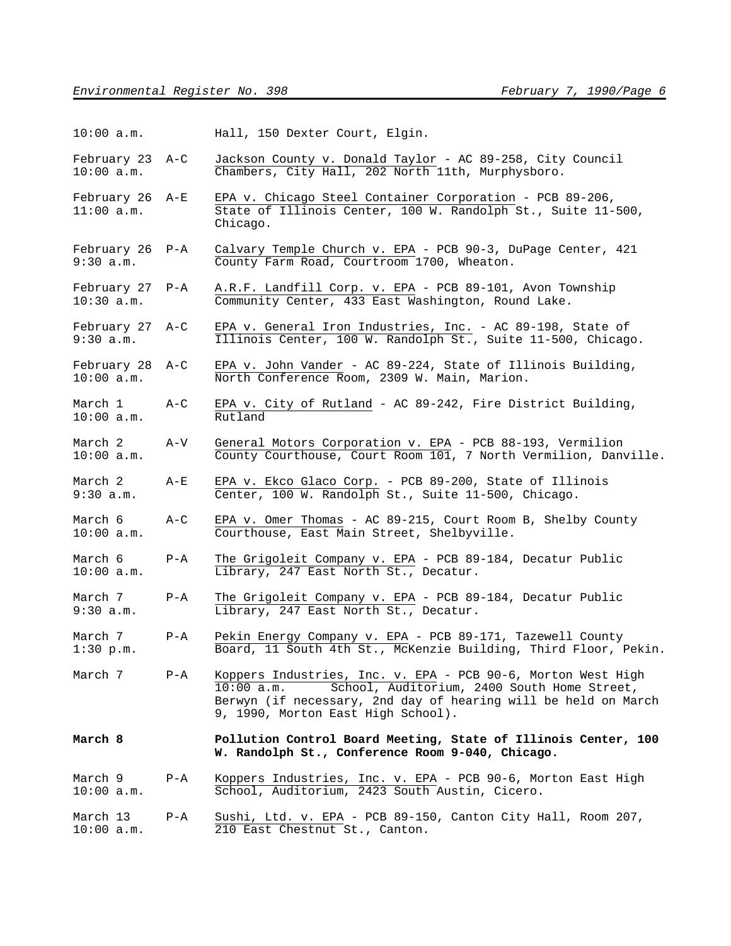| $10:00$ a.m. |  |  | Hall, 150 Dexter Court, Elgin. |  |  |
|--------------|--|--|--------------------------------|--|--|
|--------------|--|--|--------------------------------|--|--|

February 23 A-C Jackson County v. Donald Taylor - AC 89-258, City Council 10:00 a.m. Chambers, City Hall, 202 North 11th, Murphysboro.

February 26 A-E EPA v. Chicago Steel Container Corporation - PCB 89-206, 11:00 a.m. State of Illinois Center, 100 W. Randolph St., Suite 11-500, Chicago.

February 26 P-A Calvary Temple Church v. EPA - PCB 90-3, DuPage Center, 421 9:30 a.m. County Farm Road, Courtroom 1700, Wheaton.

February 27 P-A A.R.F. Landfill Corp. v. EPA - PCB 89-101, Avon Township 10:30 a.m. Community Center, 433 East Washington, Round Lake.

February 27 A-C EPA v. General Iron Industries, Inc. - AC 89-198, State of 9:30 a.m. Illinois Center, 100 W. Randolph St., Suite 11-500, Chicago.

February 28 A-C EPA v. John Vander - AC 89-224, State of Illinois Building, 10:00 a.m. North Conference Room, 2309 W. Main, Marion.

March 1 A-C EPA v. City of Rutland - AC 89-242, Fire District Building, 10:00 a.m. Rutland

March 2 A-V General Motors Corporation v. EPA - PCB 88-193, Vermilion<br>10:00 a.m. County Courthouse, Court Room 101, 7 North Vermilion, Dany County Courthouse, Court Room 101, 7 North Vermilion, Danville.

March 2 A-E EPA v. Ekco Glaco Corp. - PCB 89-200, State of Illinois 9:30 a.m. Center, 100 W. Randolph St., Suite 11-500, Chicago.

March 6  $A-C$  EPA v. Omer Thomas - AC 89-215, Court Room B, Shelby County 10:00 a.m. Courthouse, East Main Street, Shelbyville.

March 6 P-A The Grigoleit Company v. EPA - PCB 89-184, Decatur Public 10:00 a.m. Library, 247 East North St., Decatur.

March 7 P-A The Grigoleit Company v. EPA - PCB 89-184, Decatur Public 9:30 a.m. Library, 247 East North St., Decatur.

March 7 P-A Pekin Energy Company v. EPA - PCB 89-171, Tazewell County 1:30 p.m. Board, 11 South 4th St., McKenzie Building, Third Floor, Pekin.

March 7 P-A Koppers Industries, Inc. v. EPA - PCB 90-6, Morton West High<br>10:00 a.m. School, Auditorium, 2400 South Home Street, School, Auditorium, 2400 South Home Street, Berwyn (if necessary, 2nd day of hearing will be held on March 9, 1990, Morton East High School).

**March 8 Pollution Control Board Meeting, State of Illinois Center, 100 W. Randolph St., Conference Room 9-040, Chicago.**

March 9 P-A Koppers Industries, Inc. v. EPA - PCB 90-6, Morton East High School, Auditorium, 2423 South Austin, Cicero.

March 13 P-A Sushi, Ltd. v. EPA - PCB 89-150, Canton City Hall, Room 207, 10:00 a.m. 210 East Chestnut St., Canton.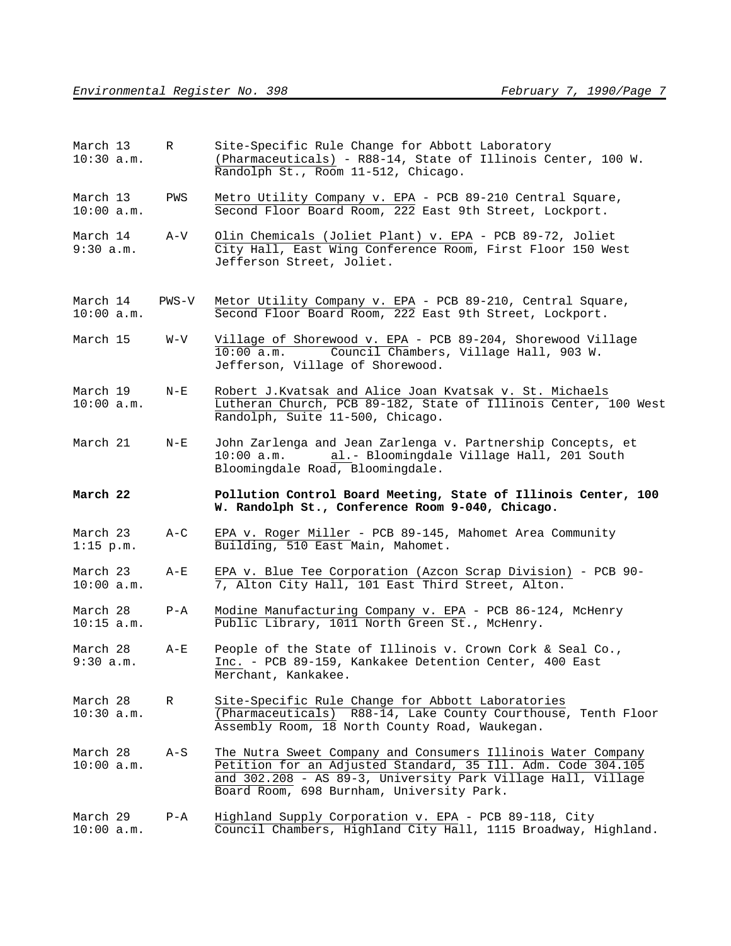| March 13<br>$10:30$ a.m. | $\mathbb{R}$ | Site-Specific Rule Change for Abbott Laboratory<br>(Pharmaceuticals) - R88-14, State of Illinois Center, 100 W.<br>Randolph St., Room 11-512, Chicago.                                                                                    |
|--------------------------|--------------|-------------------------------------------------------------------------------------------------------------------------------------------------------------------------------------------------------------------------------------------|
| March 13<br>10:00 a.m.   | PWS          | Metro Utility Company v. EPA - PCB 89-210 Central Square,<br>Second Floor Board Room, 222 East 9th Street, Lockport.                                                                                                                      |
| March 14<br>9:30 a.m.    | $A-V$        | Olin Chemicals (Joliet Plant) v. EPA - PCB 89-72, Joliet<br>City Hall, East Wing Conference Room, First Floor 150 West<br>Jefferson Street, Joliet.                                                                                       |
| March 14<br>10:00 a.m.   | PWS-V        | Metor Utility Company v. EPA - PCB 89-210, Central Square,<br>Second Floor Board Room, 222 East 9th Street, Lockport.                                                                                                                     |
| March 15                 | W-V          | Village of Shorewood v. EPA - PCB 89-204, Shorewood Village<br>10:00 a.m.<br>Council Chambers, Village Hall, 903 W.<br>Jefferson, Village of Shorewood.                                                                                   |
| March 19<br>10:00 a.m.   | $N-E$        | Robert J.Kvatsak and Alice Joan Kvatsak v. St. Michaels<br>Lutheran Church, PCB 89-182, State of Illinois Center, 100 West<br>Randolph, Suite 11-500, Chicago.                                                                            |
| March 21                 | $N-E$        | John Zarlenga and Jean Zarlenga v. Partnership Concepts, et<br>al.- Bloomingdale Village Hall, 201 South<br>$10:00$ a.m.<br>Bloomingdale Road, Bloomingdale.                                                                              |
| March 22                 |              | Pollution Control Board Meeting, State of Illinois Center, 100<br>W. Randolph St., Conference Room 9-040, Chicago.                                                                                                                        |
|                          |              |                                                                                                                                                                                                                                           |
| March 23<br>$1:15$ p.m.  | $A-C$        | EPA v. Roger Miller - PCB 89-145, Mahomet Area Community<br>Building, 510 East Main, Mahomet.                                                                                                                                             |
| March 23<br>10:00 a.m.   | A-E          | EPA v. Blue Tee Corporation (Azcon Scrap Division) - PCB 90-<br>7, Alton City Hall, 101 East Third Street, Alton.                                                                                                                         |
| March 28<br>10:15 a.m.   | $P - A$      | Modine Manufacturing Company v. EPA - PCB 86-124, McHenry<br>Public Library, 1011 North Green St., McHenry.                                                                                                                               |
| March 28<br>9:30 a.m.    | A-E          | People of the State of Illinois v. Crown Cork & Seal Co.,<br>Inc. - PCB 89-159, Kankakee Detention Center, 400 East<br>Merchant, Kankakee.                                                                                                |
| March 28<br>$10:30$ a.m. | R            | Site-Specific Rule Change for Abbott Laboratories<br>(Pharmaceuticals) R88-14, Lake County Courthouse, Tenth Floor<br>Assembly Room, 18 North County Road, Waukegan.                                                                      |
| March 28<br>10:00 a.m.   | A-S          | The Nutra Sweet Company and Consumers Illinois Water Company<br>Petition for an Adjusted Standard, 35 Ill. Adm. Code 304.105<br>and 302.208 - AS 89-3, University Park Village Hall, Village<br>Board Room, 698 Burnham, University Park. |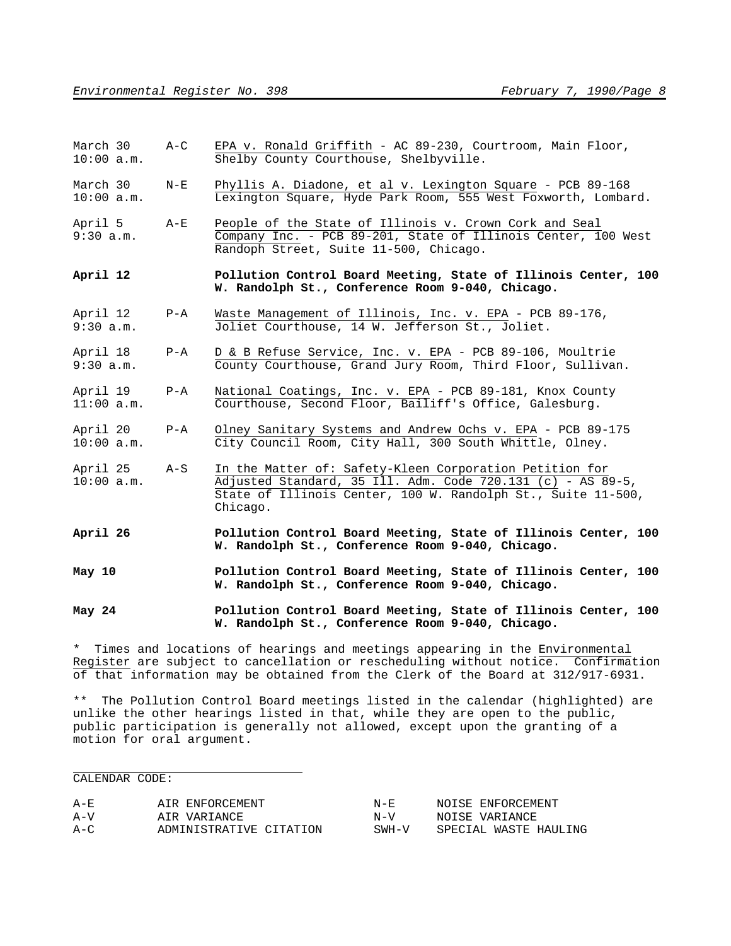| March 30     | $A-C$ |  |                                        |  | EPA v. Ronald Griffith - AC 89-230, Courtroom, Main Floor, |  |
|--------------|-------|--|----------------------------------------|--|------------------------------------------------------------|--|
| $10:00$ a.m. |       |  | Shelby County Courthouse, Shelbyville. |  |                                                            |  |

- March 30 N-E Phyllis A. Diadone, et al v. Lexington Square PCB 89-168 10:00 a.m. Lexington Square, Hyde Park Room, 555 West Foxworth, Lombard.
- April 5 A-E People of the State of Illinois v. Crown Cork and Seal 9:30 a.m. Company Inc. - PCB 89-201, State of Illinois Center, 100 West Randoph Street, Suite 11-500, Chicago.
- **April 12 Pollution Control Board Meeting, State of Illinois Center, 100 W. Randolph St., Conference Room 9-040, Chicago.**
- April 12 P-A Waste Management of Illinois, Inc. v. EPA PCB 89-176, 9:30 a.m. Joliet Courthouse, 14 W. Jefferson St., Joliet.
- April 18 P-A D & B Refuse Service, Inc. v. EPA PCB 89-106, Moultrie 9:30 a.m. County Courthouse, Grand Jury Room, Third Floor, Sullivan.
- April 19 P-A National Coatings, Inc. v. EPA PCB 89-181, Knox County<br>11:00 a.m. Courthouse, Second Floor, Bailiff's Office, Galesburg. Courthouse, Second Floor, Bailiff's Office, Galesburg.
- April 20 P-A Olney Sanitary Systems and Andrew Ochs v. EPA PCB 89-175 10:00 a.m. City Council Room, City Hall, 300 South Whittle, Olney.
- April 25 A-S In the Matter of: Safety-Kleen Corporation Petition for 10:00 a.m. Adjusted Standard, 35 Ill. Adm. Code 720.131 (c) - AS 89-5, State of Illinois Center, 100 W. Randolph St., Suite 11-500, Chicago.
- **April 26 Pollution Control Board Meeting, State of Illinois Center, 100 W. Randolph St., Conference Room 9-040, Chicago.**
- **May 10 Pollution Control Board Meeting, State of Illinois Center, 100 W. Randolph St., Conference Room 9-040, Chicago.**

**May 24 Pollution Control Board Meeting, State of Illinois Center, 100 W. Randolph St., Conference Room 9-040, Chicago.**

\* Times and locations of hearings and meetings appearing in the Environmental Register are subject to cancellation or rescheduling without notice. Confirmation of that information may be obtained from the Clerk of the Board at 312/917-6931.

\*\* The Pollution Control Board meetings listed in the calendar (highlighted) are unlike the other hearings listed in that, while they are open to the public, public participation is generally not allowed, except upon the granting of a motion for oral argument.

#### CALENDAR CODE:

| $A - E$ | AIR ENFORCEMENT         | N-F.    | NOISE ENFORCEMENT     |
|---------|-------------------------|---------|-----------------------|
| $A-V$   | AIR VARIANCE            | $N - V$ | NOISE VARIANCE        |
| $A-C$   | ADMINISTRATIVE CITATION | $SWH-V$ | SPECIAL WASTE HAULING |